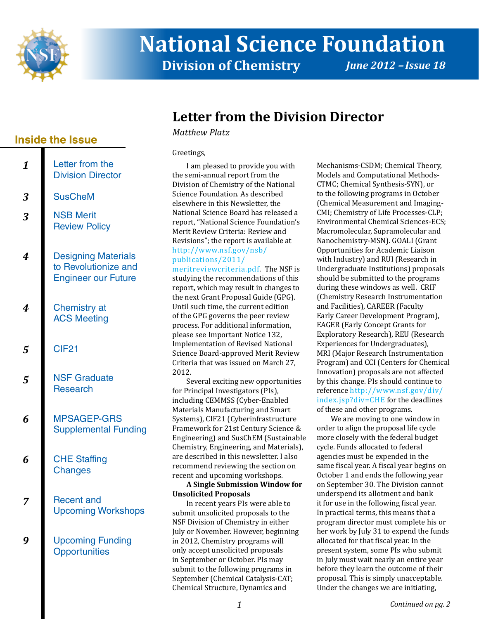

# **National Science Foundation Division of Chemistry** *June 2012 - Issue 18*

## <span id="page-0-0"></span>**Letter from the Division Director**

*Matthew Platz*

#### Greetings,

I am pleased to provide you with the semi-annual report from the Division of Chemistry of the National Science Foundation. As described elsewhere in this Newsletter, the National Science Board has released a report, "National Science Foundation's Merit Review Criteria: Review and Revisions"; the report is available at [http://www.nsf.gov/nsb/](http://www.nsf.gov/nsb/publications/2011/meritreviewcriteria.pdf)

[publications/2011/](http://www.nsf.gov/nsb/publications/2011/meritreviewcriteria.pdf)

[meritreviewcriteria.pdf](http://www.nsf.gov/nsb/publications/2011/meritreviewcriteria.pdf). The NSF is studying the recommendations of this report, which may result in changes to the next Grant Proposal Guide (GPG). Until such time, the current edition of the GPG governs the peer review process. For additional information, please see Important Notice 132, Implementation of Revised National Science Board-approved Merit Review Criteria that was issued on March 27, 2012.

Several exciting new opportunities for Principal Investigators (PIs), including CEMMSS (Cyber-Enabled Materials Manufacturing and Smart Systems), CIF21 (Cyberinfrastructure Framework for 21st Century Science & Engineering) and SusChEM (Sustainable Chemistry, Engineering, and Materials), are described in this newsletter. I also recommend reviewing the section on recent and upcoming workshops.

**A Single Submission Window for Unsolicited Proposals**

In recent years PIs were able to submit unsolicited proposals to the NSF Division of Chemistry in either July or November. However, beginning in 2012, Chemistry programs will only accept unsolicited proposals in September or October. PIs may submit to the following programs in September (Chemical Catalysis-CAT; Chemical Structure, Dynamics and

Mechanisms-CSDM; Chemical Theory, Models and Computational Methods-CTMC; Chemical Synthesis-SYN), or to the following programs in October (Chemical Measurement and Imaging-CMI; Chemistry of Life Processes-CLP; Environmental Chemical Sciences-ECS; Macromolecular, Supramolecular and Nanochemistry-MSN). GOALI (Grant Opportunities for Academic Liaison with Industry) and RUI (Research in Undergraduate Institutions) proposals should be submitted to the programs during these windows as well. CRIF (Chemistry Research Instrumentation and Facilities), CAREER (Faculty Early Career Development Program), EAGER (Early Concept Grants for Exploratory Research), REU (Research Experiences for Undergraduates), MRI (Major Research Instrumentation Program) and CCI (Centers for Chemical Innovation) proposals are not affected by this change. PIs should continue to reference [http://www.nsf.gov/div/](http://www.nsf.gov/div/index.jsp?div=CHE ) [index.jsp?div=CHE f](http://www.nsf.gov/div/index.jsp?div=CHE )or the deadlines of these and other programs.

We are moving to one window in order to align the proposal life cycle more closely with the federal budget cycle. Funds allocated to federal agencies must be expended in the same fiscal year. A fiscal year begins on October 1 and ends the following year on September 30. The Division cannot underspend its allotment and bank it for use in the following fiscal year. In practical terms, this means that a program director must complete his or her work by July 31 to expend the funds allocated for that fiscal year. In the present system, some PIs who submit in July must wait nearly an entire year before they learn the outcome of their proposal. This is simply unacceptable. Under the changes we are initiating,

### **Inside the Issue**

| 1 | Letter from the<br><b>Division Director</b>                                      |
|---|----------------------------------------------------------------------------------|
| 3 | <b>SusCheM</b>                                                                   |
| 3 | <b>NSB Merit</b><br><b>Review Policy</b>                                         |
| 4 | <b>Designing Materials</b><br>to Revolutionize and<br><b>Engineer our Future</b> |
| 4 | <b>Chemistry at</b><br><b>ACS Meeting</b>                                        |
| 5 | <b>CIF21</b>                                                                     |
| 5 | <b>NSF Graduate</b><br><b>Research</b>                                           |
| 6 | <b>MPSAGEP-GRS</b><br><b>Supplemental Funding</b>                                |
| 6 | <b>CHE Staffing</b><br>Changes                                                   |
| 7 | <b>Recent and</b><br><b>Upcoming Workshops</b>                                   |
|   | <b>Upcoming Funding</b><br><b>Opportunities</b>                                  |
|   |                                                                                  |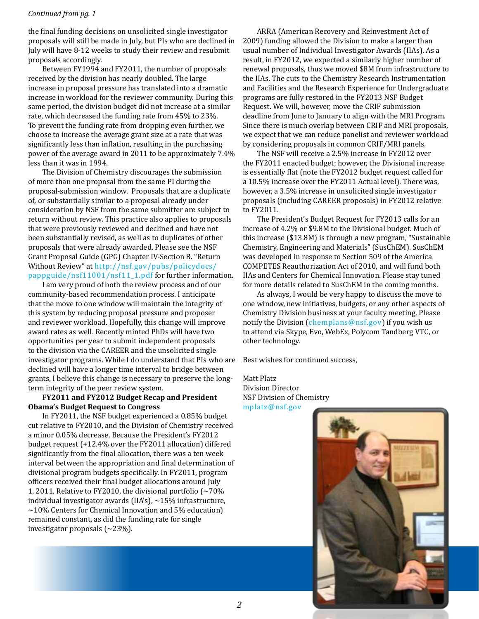#### *Continued from pg. 1*

the final funding decisions on unsolicited single investigator proposals will still be made in July, but PIs who are declined in July will have 8-12 weeks to study their review and resubmit proposals accordingly.

Between FY1994 and FY2011, the number of proposals received by the division has nearly doubled. The large increase in proposal pressure has translated into a dramatic increase in workload for the reviewer community. During this same period, the division budget did not increase at a similar rate, which decreased the funding rate from 45% to 23%. To prevent the funding rate from dropping even further, we choose to increase the average grant size at a rate that was significantly less than inflation, resulting in the purchasing power of the average award in 2011 to be approximately 7.4% less than it was in 1994.

The Division of Chemistry discourages the submission of more than one proposal from the same PI during the proposal-submission window. Proposals that are a duplicate of, or substantially similar to a proposal already under consideration by NSF from the same submitter are subject to return without review. This practice also applies to proposals that were previously reviewed and declined and have not been substantially revised, as well as to duplicates of other proposals that were already awarded. Please see the NSF Grant Proposal Guide (GPG) Chapter IV-Section B. "Return Without Review" at [http://nsf.gov/pubs/policydocs/](http://nsf.gov/pubs/policydocs/pappguide/nsf11001/nsf11_1.pdf ) [pappguide/nsf11001/nsf11\\_1.pdf](http://nsf.gov/pubs/policydocs/pappguide/nsf11001/nsf11_1.pdf ) for further information.

I am very proud of both the review process and of our community-based recommendation process. I anticipate that the move to one window will maintain the integrity of this system by reducing proposal pressure and proposer and reviewer workload. Hopefully, this change will improve award rates as well. Recently minted PhDs will have two opportunities per year to submit independent proposals to the division via the CAREER and the unsolicited single investigator programs. While I do understand that PIs who are declined will have a longer time interval to bridge between grants, I believe this change is necessary to preserve the longterm integrity of the peer review system.

#### **FY2011 and FY2012 Budget Recap and President Obama's Budget Request to Congress**

In FY2011, the NSF budget experienced a 0.85% budget cut relative to FY2010, and the Division of Chemistry received a minor 0.05% decrease. Because the President's FY2012 budget request (+12.4% over the FY2011 allocation) differed significantly from the final allocation, there was a ten week interval between the appropriation and final determination of divisional program budgets specifically. In FY2011, program officers received their final budget allocations around July 1, 2011. Relative to FY2010, the divisional portfolio  $\sim 70\%$ individual investigator awards (IIA's),  $\sim$ 15% infrastructure,  $\sim$ 10% Centers for Chemical Innovation and 5% education) remained constant, as did the funding rate for single investigator proposals (~23%).

ARRA (American Recovery and Reinvestment Act of 2009) funding allowed the Division to make a larger than usual number of Individual Investigator Awards (IIAs). As a result, in FY2012, we expected a similarly higher number of renewal proposals, thus we moved \$8M from infrastructure to the IIAs. The cuts to the Chemistry Research Instrumentation and Facilities and the Research Experience for Undergraduate programs are fully restored in the FY2013 NSF Budget Request. We will, however, move the CRIF submission deadline from June to January to align with the MRI Program. Since there is much overlap between CRIF and MRI proposals, we expect that we can reduce panelist and reviewer workload by considering proposals in common CRIF/MRI panels.

The NSF will receive a 2.5% increase in FY2012 over the FY2011 enacted budget; however, the Divisional increase is essentially flat (note the FY2012 budget request called for a 10.5% increase over the FY2011 Actual level). There was, however, a 3.5% increase in unsolicited single investigator proposals (including CAREER proposals) in FY2012 relative to FY2011.

The President's Budget Request for FY2013 calls for an increase of 4.2% or \$9.8M to the Divisional budget. Much of this increase (\$13.8M) is through a new program, "Sustainable Chemistry, Engineering and Materials" (SusChEM). SusChEM was developed in response to Section 509 of the America COMPETES Reauthorization Act of 2010, and will fund both IIAs and Centers for Chemical Innovation. Please stay tuned for more details related to SusChEM in the coming months.

As always, I would be very happy to discuss the move to one window, new initiatives, budgets, or any other aspects of Chemistry Division business at your faculty meeting. Please notify the Division ([chemplans@nsf.gov](mailto:chemplans@nsf.gov)) if you wish us to attend via Skype, Evo, WebEx, Polycom Tandberg VTC, or other technology.

Best wishes for continued success,

Matt Platz Division Director NSF Division of Chemistry



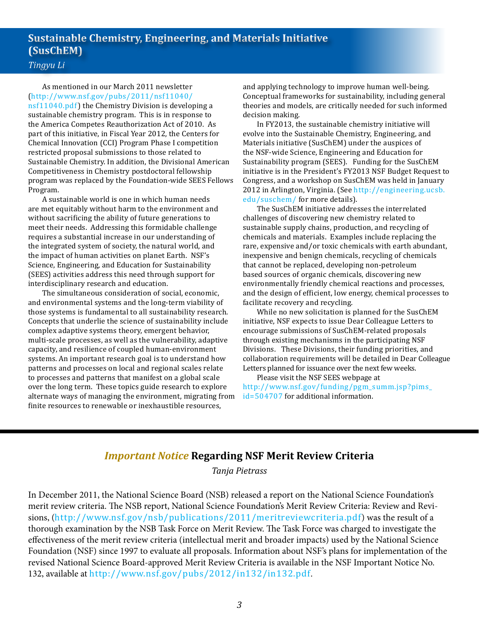### <span id="page-2-0"></span>**Sustainable Chemistry, Engineering, and Materials Initiative (SusChEM)**

### *Tingyu Li*

As mentioned in our March 2011 newsletter ([http://www.nsf.gov/pubs/2011/nsf11040/](http://www.nsf.gov/pubs/2011/nsf11040/nsf11040.pdf) [nsf11040.pdf\)](http://www.nsf.gov/pubs/2011/nsf11040/nsf11040.pdf) the Chemistry Division is developing a sustainable chemistry program. This is in response to the America Competes Reauthorization Act of 2010. As part of this initiative, in Fiscal Year 2012, the Centers for Chemical Innovation (CCI) Program Phase I competition restricted proposal submissions to those related to Sustainable Chemistry. In addition, the Divisional American Competitiveness in Chemistry postdoctoral fellowship program was replaced by the Foundation-wide SEES Fellows Program.

A sustainable world is one in which human needs are met equitably without harm to the environment and without sacrificing the ability of future generations to meet their needs. Addressing this formidable challenge requires a substantial increase in our understanding of the integrated system of society, the natural world, and the impact of human activities on planet Earth. NSF's Science, Engineering, and Education for Sustainability (SEES) activities address this need through support for interdisciplinary research and education.

The simultaneous consideration of social, economic, and environmental systems and the long-term viability of those systems is fundamental to all sustainability research. Concepts that underlie the science of sustainability include complex adaptive systems theory, emergent behavior, multi-scale processes, as well as the vulnerability, adaptive capacity, and resilience of coupled human-environment systems. An important research goal is to understand how patterns and processes on local and regional scales relate to processes and patterns that manifest on a global scale over the long term. These topics guide research to explore alternate ways of managing the environment, migrating from finite resources to renewable or inexhaustible resources,

and applying technology to improve human well-being. Conceptual frameworks for sustainability, including general theories and models, are critically needed for such informed decision making.

In FY2013, the sustainable chemistry initiative will evolve into the Sustainable Chemistry, Engineering, and Materials initiative (SusChEM) under the auspices of the NSF-wide Science, Engineering and Education for Sustainability program (SEES). Funding for the SusChEM initiative is in the President's FY2013 NSF Budget Request to Congress, and a workshop on SusChEM was held in January 2012 in Arlington, Virginia. (See [http://engineering.ucsb.](http://www.nsf.gov/cgi-bin/good-bye?http://engineering.ucsb.edu/suschem) [edu/suschem](http://www.nsf.gov/cgi-bin/good-bye?http://engineering.ucsb.edu/suschem)/ for more details).

The SusChEM initiative addresses the interrelated challenges of discovering new chemistry related to sustainable supply chains, production, and recycling of chemicals and materials. Examples include replacing the rare, expensive and/or toxic chemicals with earth abundant, inexpensive and benign chemicals, recycling of chemicals that cannot be replaced, developing non-petroleum based sources of organic chemicals, discovering new environmentally friendly chemical reactions and processes, and the design of efficient, low energy, chemical processes to facilitate recovery and recycling.

While no new solicitation is planned for the SusChEM initiative, NSF expects to issue Dear Colleague Letters to encourage submissions of SusChEM-related proposals through existing mechanisms in the participating NSF Divisions. These Divisions, their funding priorities, and collaboration requirements will be detailed in Dear Colleague Letters planned for issuance over the next few weeks.

<span id="page-2-1"></span>Please visit the NSF SEES webpage at [http://www.nsf.gov/funding/pgm\\_summ.jsp?pims\\_](http://www.nsf.gov/funding/pgm_summ.jsp?pims_id=504707) [id=504707](http://www.nsf.gov/funding/pgm_summ.jsp?pims_id=504707) for additional information.

### *Important Notice* **Regarding NSF Merit Review Criteria**

*Tanja Pietrass*

In December 2011, the National Science Board (NSB) released a report on the National Science Foundation's merit review criteria. The NSB report, National Science Foundation's Merit Review Criteria: Review and Revisions, (<http://www.nsf.gov/nsb/publications/2011/meritreviewcriteria.pdf>) was the result of a thorough examination by the NSB Task Force on Merit Review. The Task Force was charged to investigate the effectiveness of the merit review criteria (intellectual merit and broader impacts) used by the National Science Foundation (NSF) since 1997 to evaluate all proposals. Information about NSF's plans for implementation of the revised National Science Board-approved Merit Review Criteria is available in the NSF Important Notice No. 132, available at <http://www.nsf.gov/pubs/2012/in132/in132.pdf>.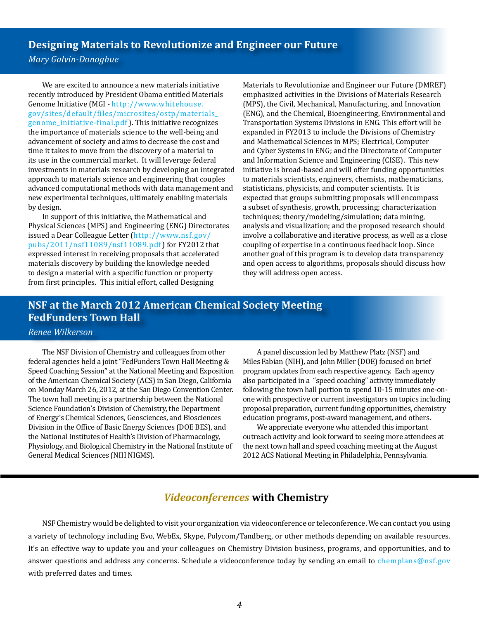<span id="page-3-0"></span>**Designing Materials to Revolutionize and Engineer our Future** 

*Mary Galvin-Donoghue*

We are excited to announce a new materials initiative recently introduced by President Obama entitled Materials Genome Initiative (MGI - [http://www.whitehouse.](http://www.whitehouse.gov/sites/default/files/microsites/ostp/materials_genome_initiative-final.pdf) [gov/sites/default/files/microsites/ostp/materials\\_](http://www.whitehouse.gov/sites/default/files/microsites/ostp/materials_genome_initiative-final.pdf) [genome\\_initiative-final.pdf](http://www.whitehouse.gov/sites/default/files/microsites/ostp/materials_genome_initiative-final.pdf)). This initiative recognizes the importance of materials science to the well-being and advancement of society and aims to decrease the cost and time it takes to move from the discovery of a material to its use in the commercial market. It will leverage federal investments in materials research by developing an integrated approach to materials science and engineering that couples advanced computational methods with data management and new experimental techniques, ultimately enabling materials by design.

In support of this initiative, the Mathematical and Physical Sciences (MPS) and Engineering (ENG) Directorates issued a Dear Colleague Letter ([http://www.nsf.gov/](http://www.nsf.gov/pubs/2011/nsf11089/nsf11089.pdf) [pubs/2011/nsf11089/nsf11089.pdf](http://www.nsf.gov/pubs/2011/nsf11089/nsf11089.pdf)) for FY2012 that expressed interest in receiving proposals that accelerated materials discovery by building the knowledge needed to design a material with a specific function or property from first principles. This initial effort, called Designing

Materials to Revolutionize and Engineer our Future (DMREF) emphasized activities in the Divisions of Materials Research (MPS), the Civil, Mechanical, Manufacturing, and Innovation (ENG), and the Chemical, Bioengineering, Environmental and Transportation Systems Divisions in ENG. This effort will be expanded in FY2013 to include the Divisions of Chemistry and Mathematical Sciences in MPS; Electrical, Computer and Cyber Systems in ENG; and the Directorate of Computer and Information Science and Engineering (CISE). This new initiative is broad-based and will offer funding opportunities to materials scientists, engineers, chemists, mathematicians, statisticians, physicists, and computer scientists. It is expected that groups submitting proposals will encompass a subset of synthesis, growth, processing; characterization techniques; theory/modeling/simulation; data mining, analysis and visualization; and the proposed research should involve a collaborative and iterative process, as well as a close coupling of expertise in a continuous feedback loop. Since another goal of this program is to develop data transparency and open access to algorithms, proposals should discuss how they will address open access.

### <span id="page-3-1"></span>**NSF at the March 2012 American Chemical Society Meeting FedFunders Town Hall**

#### *Renee Wilkerson*

The NSF Division of Chemistry and colleagues from other federal agencies held a joint "FedFunders Town Hall Meeting & Speed Coaching Session" at the National Meeting and Exposition of the American Chemical Society (ACS) in San Diego, California on Monday March 26, 2012, at the San Diego Convention Center. The town hall meeting is a partnership between the National Science Foundation's Division of Chemistry, the Department of Energy's Chemical Sciences, Geosciences, and Biosciences Division in the Office of Basic Energy Sciences (DOE BES), and the National Institutes of Health's Division of Pharmacology, Physiology, and Biological Chemistry in the National Institute of General Medical Sciences (NIH NIGMS).

A panel discussion led by Matthew Platz (NSF) and Miles Fabian (NIH), and John Miller (DOE) focused on brief program updates from each respective agency. Each agency also participated in a "speed coaching" activity immediately following the town hall portion to spend 10-15 minutes one-onone with prospective or current investigators on topics including proposal preparation, current funding opportunities, chemistry education programs, post-award management, and others.

We appreciate everyone who attended this important outreach activity and look forward to seeing more attendees at the next town hall and speed coaching meeting at the August 2012 ACS National Meeting in Philadelphia, Pennsylvania.

### *Videoconferences* **with Chemistry**

NSF Chemistry would be delighted to visit your organization via videoconference or teleconference. We can contact you using a variety of technology including Evo, WebEx, Skype, Polycom/Tandberg, or other methods depending on available resources. It's an effective way to update you and your colleagues on Chemistry Division business, programs, and opportunities, and to answer questions and address any concerns. Schedule a videoconference today by sending an email to [chemplans@nsf.gov](mailto:chemplans@nsf.gov) with preferred dates and times.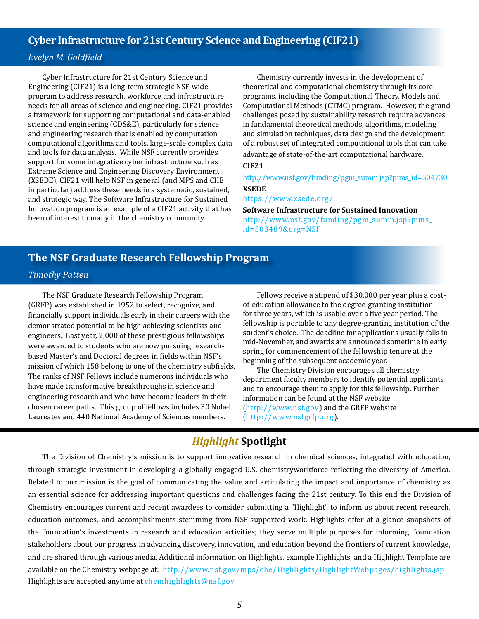### <span id="page-4-0"></span>**Cyber Infrastructure for 21st Century Science and Engineering (CIF21)**

### *Evelyn M. Goldfield*

Cyber Infrastructure for 21st Century Science and Engineering (CIF21) is a long-term strategic NSF-wide program to address research, workforce and infrastructure needs for all areas of science and engineering. CIF21 provides a framework for supporting computational and data-enabled science and engineering (CDS&E), particularly for science and engineering research that is enabled by computation, computational algorithms and tools, large-scale complex data and tools for data analysis. While NSF currently provides support for some integrative cyber infrastructure such as Extreme Science and Engineering Discovery Environment (XSEDE), CIF21 will help NSF in general (and MPS and CHE in particular) address these needs in a systematic, sustained, and strategic way. The Software Infrastructure for Sustained Innovation program is an example of a CIF21 activity that has been of interest to many in the chemistry community.

Chemistry currently invests in the development of theoretical and computational chemistry through its core programs, including the Computational Theory, Models and Computational Methods (CTMC) program. However, the grand challenges posed by sustainability research require advances in fundamental theoretical methods, algorithms, modeling and simulation techniques, data design and the development of a robust set of integrated computational tools that can take

### advantage of state-of-the-art computational hardware.

#### **CIF21**

[http://www.nsf.gov/funding/pgm\\_summ.jsp?pims\\_id=504730](http://www.nsf.gov/funding/pgm_summ.jsp?pims_504730)

#### **XSEDE**

[https://www.xsede.org/](http://www.nsf.gov/cgi-bin/good-bye?https://www.xsede.org)

**Software Infrastructure for Sustained Innovation**  [http://www.nsf.gov/funding/pgm\\_summ.jsp?pims\\_](http://www.nsf.gov/funding/pgm_summ.jsp?pims_id=503489&org=NSF) [id=503489&org=NSF](http://www.nsf.gov/funding/pgm_summ.jsp?pims_id=503489&org=NSF)

### <span id="page-4-1"></span>**The NSF Graduate Research Fellowship Program**

#### *Timothy Patten*

The NSF Graduate Research Fellowship Program (GRFP) was established in 1952 to select, recognize, and financially support individuals early in their careers with the demonstrated potential to be high achieving scientists and engineers. Last year, 2,000 of these prestigious fellowships were awarded to students who are now pursuing researchbased Master's and Doctoral degrees in fields within NSF's mission of which 158 belong to one of the chemistry subfield s. The ranks of NSF Fellows include numerous individuals who have made transformative breakthroughs in science and engineering research and who have become leaders in their chosen career paths. This group of fellows includes 30 Nobe Laureates and 440 National Academy of Sciences members.

Fellows receive a stipend of \$30,000 per year plus a costof-education allo w ance to the degree-granting institution for three years, which is usable over a five year period. The fellowship is portable to any degr ee-gr anting institution of the student's choice. The deadline f or applications usually falls in mid-November, and awards are announced sometime in ear ly spring for commencement of the fellowship tenure at the beginning of the subsequent academic y ear.

The Chemistry Division encourages all chemistry department f aculty members t o identify potential applicants inf ormation can be f ound at the NSF w ebsit e and t o encour age them t o apply for this f ellow ship. Further l ([http://www](www.nsf.gov) .nsf.go v) and the GRFP website [\(http://www.nsfgrfp.org](http://www.nsf.gov/cgi-bin/good-bye?http://www.nsfgrfp.org)).

### *Highlight* **Spotlight**

The Division of Chemistry's mission is to support innovative research in chemical sciences, integrated with education, through strategic investment in developing a globally engaged U.S. chemistryworkforce reflecting the diversity of America. Related to our mission is the goal of communicating the value and articulating the impact and importance of chemistry as an essential science for addressing important questions and challenges facing the 21st century. To this end the Division of Chemistry encourages current and recent awardees to consider submitting a "Highlight" to inform us about recent research, education outcomes, and accomplishments stemming from NSF-supported work. Highlights offer at-a-glance snapshots of the Foundation's investments in research and education activities; they serve multiple purposes for informing Foundation stakeholders about our progress in advancing discovery, innovation, and education beyond the frontiers of current knowledge, and are shared through various media. Additional information on Highlights, example Highlights, and a Highlight Template are available on the Chemistry webpage at: <http://www.nsf.gov/mps/che/Highlights/HighlightWebpages/highlights.jsp> Highlights are accepted anytime at [chemhighlights@nsf.gov](mailto:chemhighlights@nsf.gov)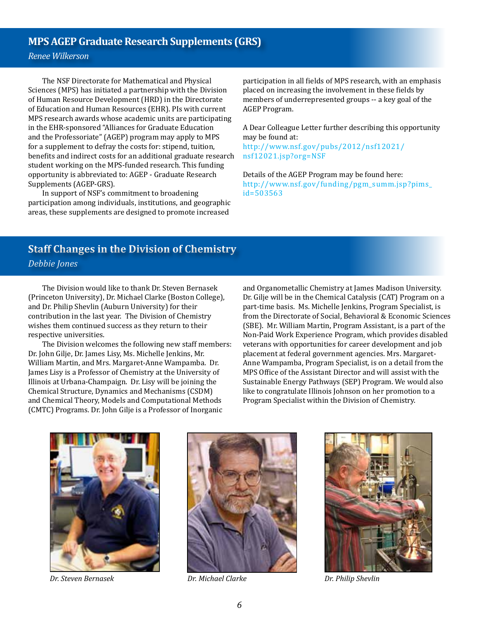### <span id="page-5-0"></span>**MPS AGEP Graduate Research Supplements (GRS)**

*Renee Wilkerson*

The NSF Directorate for Mathematical and Physical Sciences (MPS) has initiated a partnership with the Division of Human Resource Development (HRD) in the Directorate of Education and Human Resources (EHR). PIs with current MPS research awards whose academic units are participating in the EHR-sponsored "Alliances for Graduate Education and the Professoriate" (AGEP) program may apply to MPS for a supplement to defray the costs for: stipend, tuition, benefits and indirect costs for an additional graduate research student working on the MPS-funded research. This funding opportunity is abbreviated to: AGEP - Graduate Research Supplements (AGEP-GRS).

In support of NSF's commitment to broadening participation among individuals, institutions, and geographic areas, these supplements are designed to promote increased

participation in all fields of MPS research, with an emphasis placed on increasing the involvement in these fields by members of underrepresented groups -- a key goal of the AGEP Program.

A Dear Colleague Letter further describing this opportunity may be found at:

[http://www.nsf.gov/pubs/2012/nsf12021/](http://www.nsf.gov/pubs/2012/nsf12021/nsf12021.jsp?org=NSF) [nsf12021.jsp?org=NSF](http://www.nsf.gov/pubs/2012/nsf12021/nsf12021.jsp?org=NSF)

Details of the AGEP Program may be found here: [http://www.nsf.gov/funding/pgm\\_summ.jsp?pims\\_](http://www.nsf.gov/funding/pgm_summ.jsp?pims_id=503563) [id=503563](http://www.nsf.gov/funding/pgm_summ.jsp?pims_id=503563)

### <span id="page-5-1"></span>**Staff Changes in the Division of Chemistry** *Debbie Jones*

The Division would like to thank Dr. Steven Bernasek (Princeton University), Dr. Michael Clarke (Boston College), and Dr. Philip Shevlin (Auburn University) for their contribution in the last year. The Division of Chemistry wishes them continued success as they return to their respective universities.

The Division welcomes the following new staff members: Dr. John Gilje, Dr. James Lisy, Ms. Michelle Jenkins, Mr. William Martin, and Mrs. Margaret-Anne Wampamba. Dr. James Lisy is a Professor of Chemistry at the University of Illinois at Urbana-Champaign. Dr. Lisy will be joining the Chemical Structure, Dynamics and Mechanisms (CSDM) and Chemical Theory, Models and Computational Methods (CMTC) Programs. Dr. John Gilje is a Professor of Inorganic

and Organometallic Chemistry at James Madison University. Dr. Gilje will be in the Chemical Catalysis (CAT) Program on a part-time basis. Ms. Michelle Jenkins, Program Specialist, is from the Directorate of Social, Behavioral & Economic Sciences (SBE). Mr. William Martin, Program Assistant, is a part of the Non-Paid Work Experience Program, which provides disabled veterans with opportunities for career development and job placement at federal government agencies. Mrs. Margaret-Anne Wampamba, Program Specialist, is on a detail from the MPS Office of the Assistant Director and will assist with the Sustainable Energy Pathways (SEP) Program. We would also like to congratulate Illinois Johnson on her promotion to a Program Specialist within the Division of Chemistry.





*Dr. Steven Bernasek Dr. Michael Clarke Dr. Philip Shevlin*

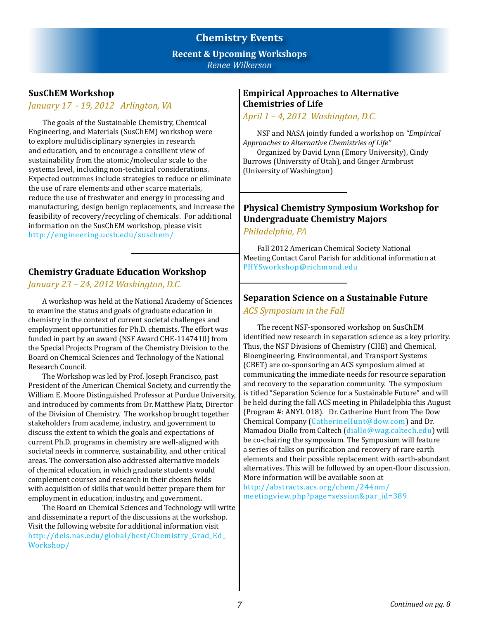### **Chemistry Events Recent & Upcoming Workshops** *Renee Wilkerson*

### **SusChEM Workshop**

### *January 17 - 19, 2012 Arlington, VA*

The goals of the Sustainable Chemistry, Chemical Engineering, and Materials (SusChEM) workshop were to explore multidisciplinary synergies in research and education, and to encourage a consilient view of sustainability from the atomic/molecular scale to the systems level, including non-technical considerations. Expected outcomes include strategies to reduce or eliminate the use of rare elements and other scarce materials, reduce the use of freshwater and energy in processing and manufacturing, design benign replacements, and increase the feasibility of recovery/recycling of chemicals. For additional information on the SusChEM workshop, please visit [http://engineering.ucsb.edu/suschem](http://www.nsf.gov/cgi-bin/good-bye?http://engineering.ucsb.edu/suschem)/

### **Chemistry Graduate Education Workshop**

*January 23 – 24, 2012 Washington, D.C.* 

A workshop was held at the National Academy of Sciences to examine the status and goals of graduate education in chemistry in the context of current societal challenges and employment opportunities for Ph.D. chemists. The effort was funded in part by an award (NSF Award CHE-1147410) from the Special Projects Program of the Chemistry Division to the Board on Chemical Sciences and Technology of the National Research Council.

The Workshop was led by Prof. Joseph Francisco, past President of the American Chemical Society, and currently the William E. Moore Distinguished Professor at Purdue University, and introduced by comments from Dr. Matthew Platz, Director of the Division of Chemistry. The workshop brought together stakeholders from academe, industry, and government to discuss the extent to which the goals and expectations of current Ph.D. programs in chemistry are well-aligned with societal needs in commerce, sustainability, and other critical areas. The conversation also addressed alternative models of chemical education, in which graduate students would complement courses and research in their chosen fields with acquisition of skills that would better prepare them for employment in education, industry, and government.

The Board on Chemical Sciences and Technology will write and disseminate a report of the discussions at the workshop. Visit the following website for additional information visit [http://dels.nas.edu/global/bcst/Chemistry\\_Grad\\_Ed\\_](http://www.nsf.gov/cgi-bin/good-bye?http://dels.nas.edu/global/bcst/Chemistry_Grad_Ed_Workshop) [Workshop](http://www.nsf.gov/cgi-bin/good-bye?http://dels.nas.edu/global/bcst/Chemistry_Grad_Ed_Workshop)/

### <span id="page-6-0"></span>**Empirical Approaches to Alternative Chemistries of Life**

*April 1 – 4, 2012 Washington, D.C.*

NSF and NASA jointly funded a workshop on *"Empirical Approaches to Alternative Chemistries of Life"* Organized by David Lynn (Emory University), Cindy Burrows (University of Utah), and Ginger Armbrust

(University of Washington)

### **Physical Chemistry Symposium Workshop for Undergraduate Chemistry Majors**

*Philadelphia, PA* 

Fall 2012 American Chemical Society National Meeting Contact Carol Parish for additional information at [PHYSworkshop@richmond.edu](mailto:PHYSworkshop@richmond.edu)

### **Separation Science on a Sustainable Future** *ACS Symposium in the Fall*

The recent NSF-sponsored workshop on SusChEM identified new research in separation science as a key priority. Thus, the NSF Divisions of Chemistry (CHE) and Chemical, Bioengineering, Environmental, and Transport Systems (CBET) are co-sponsoring an ACS symposium aimed at communicating the immediate needs for resource separation and recovery to the separation community. The symposium is titled "Separation Science for a Sustainable Future" and will be held during the fall ACS meeting in Philadelphia this August (Program #: ANYL 018). Dr. Catherine Hunt from The Dow Chemical Company ([CatherineHunt@dow.com\)](mailto:CatherineHunt@dow.com) and Dr. Mamadou Diallo from Caltech [\(diallo@wag.caltech.edu](mailto:diallo@wag.caltech.edu)) will be co-chairing the symposium. The Symposium will feature a series of talks on purification and recovery of rare earth elements and their possible replacement with earth-abundant alternatives. This will be followed by an open-floor discussion. More information will be available soon at [http://abstracts.acs.org/chem/244nm/](http://www.nsf.gov/cgi-bin/good-bye?http://abstracts.acs.org/chem/244nm/meetingview.php?page=session&par_id=389)

[meetingview.php?page=session&par\\_id=389](http://www.nsf.gov/cgi-bin/good-bye?http://abstracts.acs.org/chem/244nm/meetingview.php?page=session&par_id=389)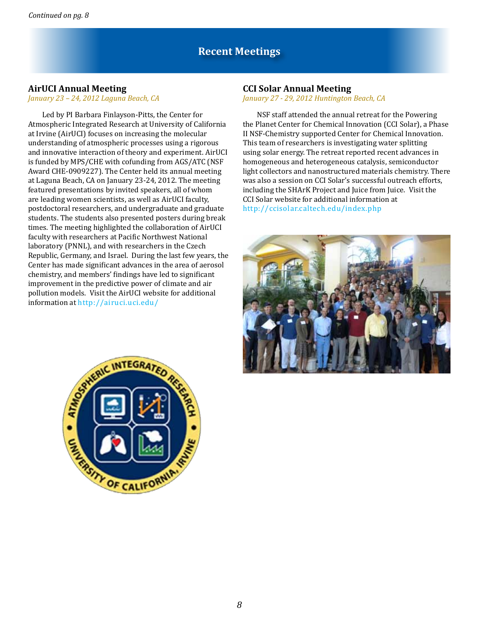### **Recent Meetings**

### **AirUCI Annual Meeting**

#### *January 23 – 24, 2012 Laguna Beach, CA*

Led by PI Barbara Finlayson-Pitts, the Center for Atmospheric Integrated Research at University of California at Irvine (AirUCI) focuses on increasing the molecular understanding of atmospheric processes using a rigorous and innovative interaction of theory and experiment. AirUCI is funded by MPS/CHE with cofunding from AGS/ATC (NSF Award CHE-0909227). The Center held its annual meeting at Laguna Beach, CA on January 23-24, 2012. The meeting featured presentations by invited speakers, all of whom are leading women scientists, as well as AirUCI faculty, postdoctoral researchers, and undergraduate and graduate students. The students also presented posters during break times. The meeting highlighted the collaboration of AirUCI faculty with researchers at Pacific Northwest National laboratory (PNNL), and with researchers in the Czech Republic, Germany, and Israel. During the last few years, the Center has made significant advances in the area of aerosol chemistry, and members' findings have led to significant improvement in the predictive power of climate and air pollution models. Visit the AirUCI website for additional information at [http://airuci.uci.edu/](http://www.nsf.gov/cgi-bin/good-bye?http://airuci.uci.edu)

#### **CCI Solar Annual Meeting**

*January 27 - 29, 2012 Huntington Beach, CA*

NSF staff attended the annual retreat for the Powering the Planet Center for Chemical Innovation (CCI Solar), a Phase II NSF-Chemistry supported Center for Chemical Innovation. This team of researchers is investigating water splitting using solar energy. The retreat reported recent advances in homogeneous and heterogeneous catalysis, semiconductor light collectors and nanostructured materials chemistry. There was also a session on CCI Solar's successful outreach efforts, including the SHArK Project and Juice from Juice. Visit the CCI Solar website for additional information at [http://ccisolar.caltech.edu/index.php](http://www.nsf.gov/cgi-bin/good-bye?http://ccisolar.caltech.edu/index.php)